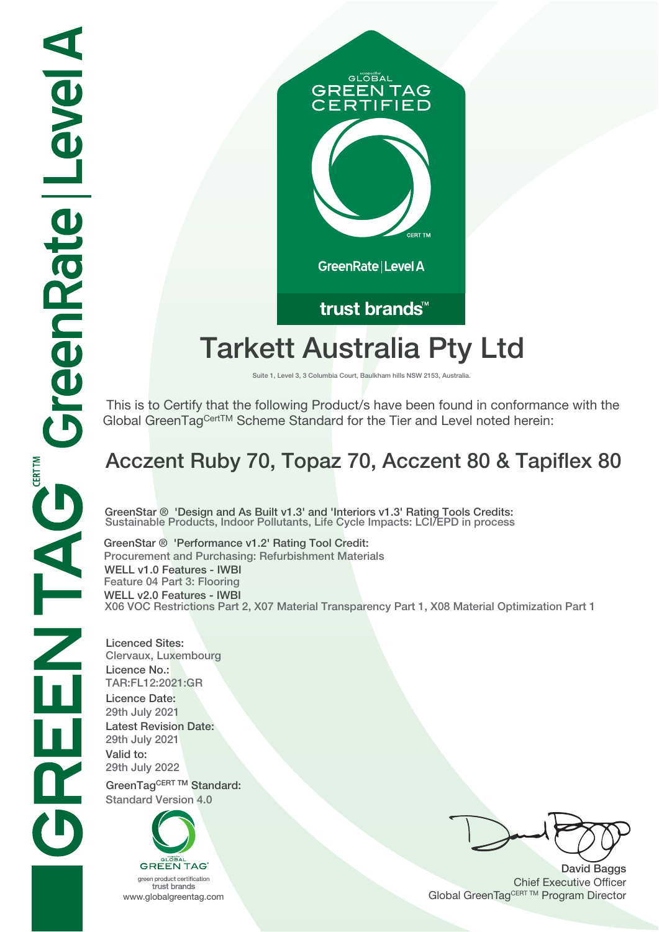

# **Tarkett Australia Pty Ltd**

**Suite 1, Level 3, 3 Columbia Court, Baulkham hills NSW 2153, Australia.**

 This is to Certify that the following Product/s have been found in conformance with the Global GreenTagCertTM Scheme Standard for the Tier and Level noted herein:

## **Acczent Ruby 70, Topaz 70, Acczent 80 & Tapiflex 80**

**GreenStar ® 'Design and As Built v1.3' and 'Interiors v1.3' Rating Tools Credits: Sustainable Products, Indoor Pollutants, Life Cycle Impacts: LCI/EPD in process**

**GreenStar ® 'Performance v1.2' Rating Tool Credit: Procurement and Purchasing: Refurbishment Materials WELL v1.0 Features - IWBI Feature 04 Part 3: Flooring WELL v2.0 Features - IWBI X06 VOC Restrictions Part 2, X07 Material Transparency Part 1, X08 Material Optimization Part 1**

**Licenced Sites: Clervaux, Luxembourg Licence No.: TAR:FL12:2021:GR Licence Date: 29th July 2021 Latest Revision Date: 29th July 2021 Valid to: 29th July 2022**

GreenTagCERT TM Standard: **Standard Version 4.0**



trust brands

**David Baggs** Chief Executive Officer WWW.globalgreentag.com **Program Director** Clobal GreenTagCERT TM Program Director